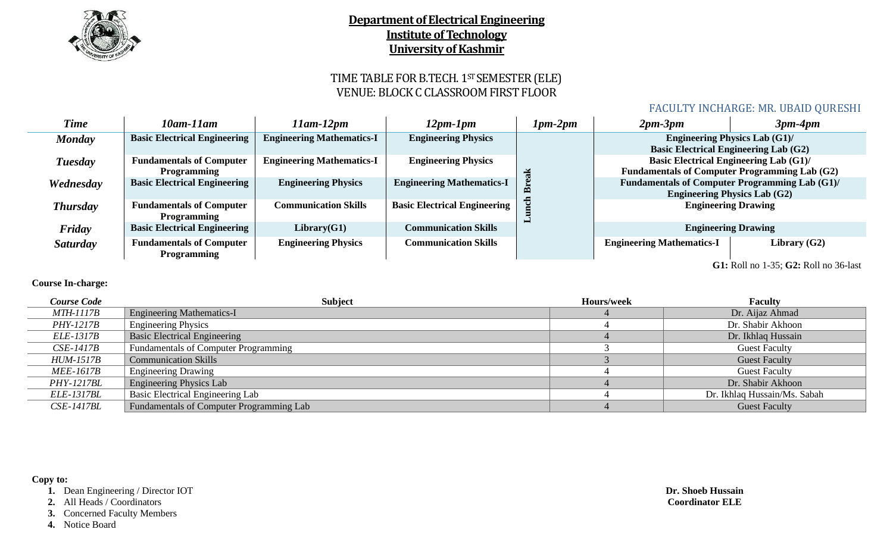

# TIME TABLE FOR B.TECH. 1ST SEMESTER (ELE) VENUE: BLOCK C CLASSROOM FIRST FLOOR

### FACULTY INCHARGE: MR. UBAID QURESHI

| <b>Time</b>                           | 10am-11am                                             | 11am-12pm                        | $12pm-1pm$                          | $1pm-2pm$ | $2pm-3pm$                                    | $3pm-4pm$                                                                                             |
|---------------------------------------|-------------------------------------------------------|----------------------------------|-------------------------------------|-----------|----------------------------------------------|-------------------------------------------------------------------------------------------------------|
| <b>Monday</b>                         | <b>Basic Electrical Engineering</b>                   | <b>Engineering Mathematics-I</b> | <b>Engineering Physics</b>          |           | <b>Basic Electrical Engineering Lab (G2)</b> | <b>Engineering Physics Lab (G1)/</b>                                                                  |
| Tuesday                               | <b>Fundamentals of Computer</b><br><b>Programming</b> | <b>Engineering Mathematics-I</b> | <b>Engineering Physics</b>          |           |                                              | <b>Basic Electrical Engineering Lab (G1)/</b><br><b>Fundamentals of Computer Programming Lab (G2)</b> |
| Wednesday                             | <b>Basic Electrical Engineering</b>                   | <b>Engineering Physics</b>       | <b>Engineering Mathematics-I</b>    |           |                                              | <b>Fundamentals of Computer Programming Lab (G1)/</b><br><b>Engineering Physics Lab (G2)</b>          |
| <b>Thursday</b>                       | <b>Fundamentals of Computer</b><br><b>Programming</b> | <b>Communication Skills</b>      | <b>Basic Electrical Engineering</b> |           |                                              | <b>Engineering Drawing</b>                                                                            |
| Friday                                | <b>Basic Electrical Engineering</b>                   | Library(G1)                      | <b>Communication Skills</b>         |           |                                              | <b>Engineering Drawing</b>                                                                            |
| Saturday                              | <b>Fundamentals of Computer</b><br><b>Programming</b> | <b>Engineering Physics</b>       | <b>Communication Skills</b>         |           | <b>Engineering Mathematics-I</b>             | Library $(G2)$                                                                                        |
| G1: Roll no 1-35; G2: Roll no 36-last |                                                       |                                  |                                     |           |                                              |                                                                                                       |

### **Course In-charge:**

| <b>Course Code</b> | <b>Subject</b>                           | Hours/week | <b>Faculty</b>               |
|--------------------|------------------------------------------|------------|------------------------------|
| <i>MTH-1117B</i>   | <b>Engineering Mathematics-I</b>         |            | Dr. Aijaz Ahmad              |
| <i>PHY-1217B</i>   | <b>Engineering Physics</b>               |            | Dr. Shabir Akhoon            |
| <i>ELE-1317B</i>   | <b>Basic Electrical Engineering</b>      |            | Dr. Ikhlaq Hussain           |
| <i>CSE-1417B</i>   | Fundamentals of Computer Programming     |            | <b>Guest Faculty</b>         |
| <b>HUM-1517B</b>   | <b>Communication Skills</b>              |            | <b>Guest Faculty</b>         |
| <i>MEE-1617B</i>   | <b>Engineering Drawing</b>               |            | <b>Guest Faculty</b>         |
| <b>PHY-1217BL</b>  | <b>Engineering Physics Lab</b>           |            | Dr. Shabir Akhoon            |
| <i>ELE-1317BL</i>  | <b>Basic Electrical Engineering Lab</b>  |            | Dr. Ikhlaq Hussain/Ms. Sabah |
| <b>CSE-1417BL</b>  | Fundamentals of Computer Programming Lab |            | <b>Guest Faculty</b>         |

#### **Copy to:**

**1.** Dean Engineering / Director IOT

**2.** All Heads / Coordinators

**3.** Concerned Faculty Members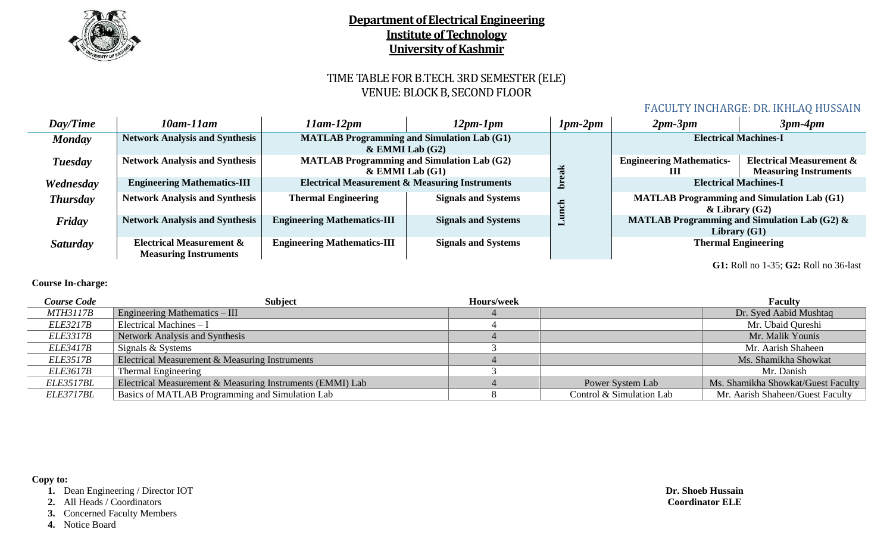

# TIME TABLE FOR B.TECH. 3RD SEMESTER (ELE) VENUE: BLOCK B, SECOND FLOOR

### FACULTY INCHARGE: DR. IKHLAQ HUSSAIN

| Day/Time        | 10am-11am                                                           | 11am-12pm                                                                | 12pm-1pm                   | $1pm-2pm$ | $2pm-3pm$                            | $3pm-4pm$                                                                 |  |
|-----------------|---------------------------------------------------------------------|--------------------------------------------------------------------------|----------------------------|-----------|--------------------------------------|---------------------------------------------------------------------------|--|
| <b>Monday</b>   | <b>Network Analysis and Synthesis</b>                               | <b>MATLAB Programming and Simulation Lab (G1)</b><br>$&$ EMMI Lab $(G2)$ |                            |           | <b>Electrical Machines-I</b>         |                                                                           |  |
| Tuesday         | <b>Network Analysis and Synthesis</b>                               | <b>MATLAB Programming and Simulation Lab (G2)</b><br>$&$ EMMI Lab $(G1)$ |                            |           | <b>Engineering Mathematics-</b><br>Ш | <b>Electrical Measurement &amp;</b><br><b>Measuring Instruments</b>       |  |
| Wednesday       | <b>Engineering Mathematics-III</b>                                  | <b>Electrical Measurement &amp; Measuring Instruments</b>                |                            |           |                                      | <b>Electrical Machines-I</b>                                              |  |
| <b>Thursday</b> | <b>Network Analysis and Synthesis</b>                               | <b>Thermal Engineering</b>                                               | <b>Signals and Systems</b> |           |                                      | <b>MATLAB Programming and Simulation Lab (G1)</b><br>$\&$ Library (G2)    |  |
| Friday          | <b>Network Analysis and Synthesis</b>                               | <b>Engineering Mathematics-III</b>                                       | <b>Signals and Systems</b> | ►         |                                      | <b>MATLAB Programming and Simulation Lab (G2) &amp;</b><br>Library $(G1)$ |  |
| <i>Saturday</i> | <b>Electrical Measurement &amp;</b><br><b>Measuring Instruments</b> | <b>Engineering Mathematics-III</b>                                       | <b>Signals and Systems</b> |           |                                      | <b>Thermal Engineering</b>                                                |  |
|                 | G1: Roll no 1-35; G2: Roll no 36-last                               |                                                                          |                            |           |                                      |                                                                           |  |

**Course In-charge:**

| <b>Course Code</b> | <b>Subject</b>                                            | Hours/week |                          | <b>Faculty</b>                     |
|--------------------|-----------------------------------------------------------|------------|--------------------------|------------------------------------|
| <b>MTH3117B</b>    | <b>Engineering Mathematics – III</b>                      |            |                          | Dr. Syed Aabid Mushtaq             |
| <i>ELE3217B</i>    | Electrical Machines $-I$                                  |            |                          | Mr. Ubaid Qureshi                  |
| <i>ELE3317B</i>    | Network Analysis and Synthesis                            |            |                          | Mr. Malik Younis                   |
| <i>ELE3417B</i>    | Signals & Systems                                         |            |                          | Mr. Aarish Shaheen                 |
| <i>ELE3517B</i>    | Electrical Measurement & Measuring Instruments            |            |                          | Ms. Shamikha Showkat               |
| <i>ELE3617B</i>    | Thermal Engineering                                       |            |                          | Mr. Danish                         |
| ELE3517BL          | Electrical Measurement & Measuring Instruments (EMMI) Lab |            | Power System Lab         | Ms. Shamikha Showkat/Guest Faculty |
| ELE3717BL          | Basics of MATLAB Programming and Simulation Lab           |            | Control & Simulation Lab | Mr. Aarish Shaheen/Guest Faculty   |

#### **Copy to:**

**1.** Dean Engineering / Director IOT

**2.** All Heads / Coordinators

**3.** Concerned Faculty Members

**4.** Notice Board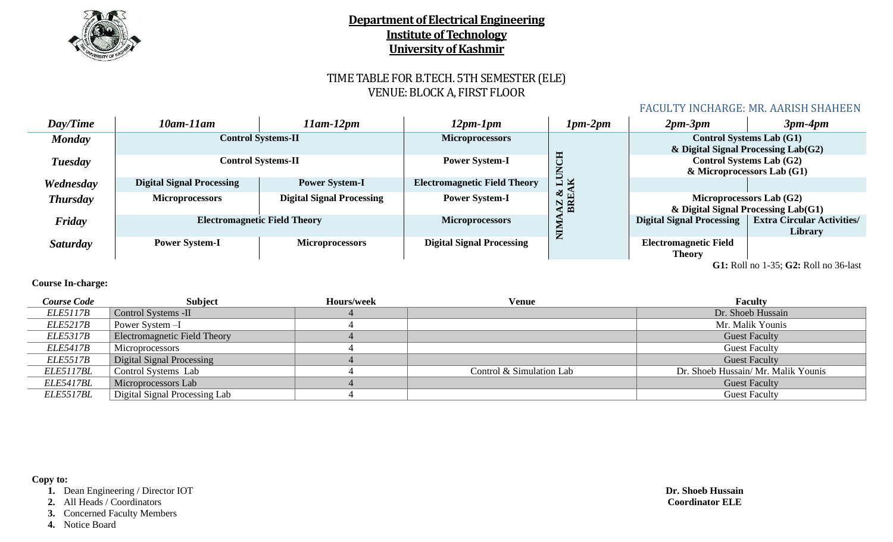

# TIME TABLE FOR B.TECH. 5TH SEMESTER (ELE) VENUE: BLOCK A, FIRST FLOOR

### FACULTY INCHARGE: MR. AARISH SHAHEEN

| Day/Time        | 10am-11am                        | $11$ am- $12$ pm                    | 12pm-1pm                            | $1pm-2pm$                             | $2pm-3pm$                                     | $3pm-4pm$                                                                   |
|-----------------|----------------------------------|-------------------------------------|-------------------------------------|---------------------------------------|-----------------------------------------------|-----------------------------------------------------------------------------|
| <b>Monday</b>   |                                  | <b>Control Systems-II</b>           | <b>Microprocessors</b>              |                                       |                                               | <b>Control Systems Lab (G1)</b><br>$&$ Digital Signal Processing Lab $(G2)$ |
| Tuesday         |                                  | <b>Control Systems-II</b>           | <b>Power System-I</b>               | Ħ                                     |                                               | <b>Control Systems Lab (G2)</b><br>$\&$ Microprocessors Lab (G1)            |
| Wednesday       | <b>Digital Signal Processing</b> | <b>Power System-I</b>               | <b>Electromagnetic Field Theory</b> | $\frac{1}{K}$                         |                                               |                                                                             |
| <b>Thursday</b> | <b>Microprocessors</b>           | <b>Digital Signal Processing</b>    | <b>Power System-I</b>               | $\frac{3}{2}$<br>$B\overline{R}$<br>N |                                               | Microprocessors Lab (G2)<br>$&$ Digital Signal Processing Lab $(G1)$        |
| Friday          |                                  | <b>Electromagnetic Field Theory</b> | <b>Microprocessors</b>              | È                                     | <b>Digital Signal Processing</b>              | <b>Extra Circular Activities/</b><br>Library                                |
| <b>Saturday</b> | <b>Power System-I</b>            | <b>Microprocessors</b>              | <b>Digital Signal Processing</b>    |                                       | <b>Electromagnetic Field</b><br><b>Theory</b> |                                                                             |
|                 |                                  |                                     |                                     |                                       |                                               | G1: Roll no 1-35; G2: Roll no 36-last                                       |

### **Course In-charge:**

| <b>Course Code</b> | <b>Subject</b>                      | Hours/week | Venue                    | <b>Faculty</b>                      |
|--------------------|-------------------------------------|------------|--------------------------|-------------------------------------|
| <i>ELE5117B</i>    | Control Systems -II                 |            |                          | Dr. Shoeb Hussain                   |
| <i>ELE5217B</i>    | Power System -I                     |            |                          | Mr. Malik Younis                    |
| <i>ELE5317B</i>    | <b>Electromagnetic Field Theory</b> |            |                          | <b>Guest Faculty</b>                |
| <i>ELE5417B</i>    | Microprocessors                     |            |                          | <b>Guest Faculty</b>                |
| <i>ELE5517B</i>    | Digital Signal Processing           |            |                          | <b>Guest Faculty</b>                |
| ELE5117BL          | Control Systems Lab                 |            | Control & Simulation Lab | Dr. Shoeb Hussain/ Mr. Malik Younis |
| <i>ELE5417BL</i>   | Microprocessors Lab                 |            |                          | <b>Guest Faculty</b>                |
| ELE5517BL          | Digital Signal Processing Lab       |            |                          | <b>Guest Faculty</b>                |

#### **Copy to:**

**1.** Dean Engineering / Director IOT

**2.** All Heads / Coordinators

**3.** Concerned Faculty Members

**4.** Notice Board